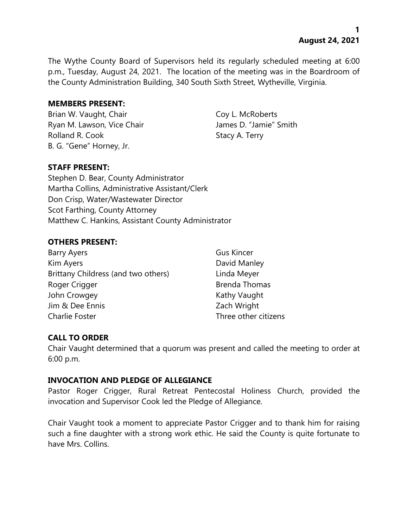**1 August 24, 2021**

The Wythe County Board of Supervisors held its regularly scheduled meeting at 6:00 p.m., Tuesday, August 24, 2021. The location of the meeting was in the Boardroom of the County Administration Building, 340 South Sixth Street, Wytheville, Virginia.

#### **MEMBERS PRESENT:**

Brian W. Vaught, Chair Coy L. McRoberts Ryan M. Lawson, Vice Chair **James D. "Jamie"** Smith Rolland R. Cook Stacy A. Terry B. G. "Gene" Horney, Jr.

# **STAFF PRESENT:**

Stephen D. Bear, County Administrator Martha Collins, Administrative Assistant/Clerk Don Crisp, Water/Wastewater Director Scot Farthing, County Attorney Matthew C. Hankins, Assistant County Administrator

### **OTHERS PRESENT:**

| Barry Ayers                         | <b>Gus Kincer</b>    |
|-------------------------------------|----------------------|
| Kim Ayers                           | David Manley         |
| Brittany Childress (and two others) | Linda Meyer          |
| Roger Crigger                       | <b>Brenda Thomas</b> |
| John Crowgey                        | Kathy Vaught         |
| Jim & Dee Ennis                     | Zach Wright          |
| Charlie Foster                      | Three other citizens |

# **CALL TO ORDER**

Chair Vaught determined that a quorum was present and called the meeting to order at 6:00 p.m.

#### **INVOCATION AND PLEDGE OF ALLEGIANCE**

Pastor Roger Crigger, Rural Retreat Pentecostal Holiness Church, provided the invocation and Supervisor Cook led the Pledge of Allegiance.

Chair Vaught took a moment to appreciate Pastor Crigger and to thank him for raising such a fine daughter with a strong work ethic. He said the County is quite fortunate to have Mrs. Collins.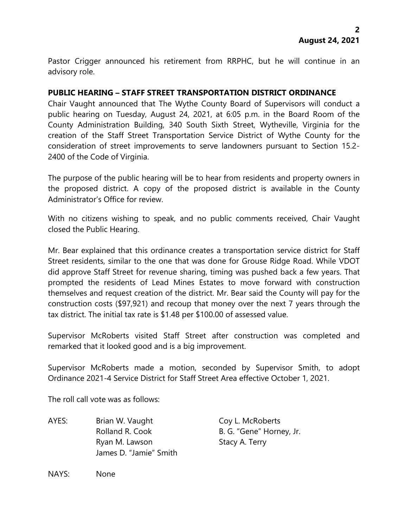Pastor Crigger announced his retirement from RRPHC, but he will continue in an advisory role.

### **PUBLIC HEARING – STAFF STREET TRANSPORTATION DISTRICT ORDINANCE**

Chair Vaught announced that The Wythe County Board of Supervisors will conduct a public hearing on Tuesday, August 24, 2021, at 6:05 p.m. in the Board Room of the County Administration Building, 340 South Sixth Street, Wytheville, Virginia for the creation of the Staff Street Transportation Service District of Wythe County for the consideration of street improvements to serve landowners pursuant to Section 15.2- 2400 of the Code of Virginia.

The purpose of the public hearing will be to hear from residents and property owners in the proposed district. A copy of the proposed district is available in the County Administrator's Office for review.

With no citizens wishing to speak, and no public comments received, Chair Vaught closed the Public Hearing.

Mr. Bear explained that this ordinance creates a transportation service district for Staff Street residents, similar to the one that was done for Grouse Ridge Road. While VDOT did approve Staff Street for revenue sharing, timing was pushed back a few years. That prompted the residents of Lead Mines Estates to move forward with construction themselves and request creation of the district. Mr. Bear said the County will pay for the construction costs (\$97,921) and recoup that money over the next 7 years through the tax district. The initial tax rate is \$1.48 per \$100.00 of assessed value.

Supervisor McRoberts visited Staff Street after construction was completed and remarked that it looked good and is a big improvement.

Supervisor McRoberts made a motion, seconded by Supervisor Smith, to adopt Ordinance 2021-4 Service District for Staff Street Area effective October 1, 2021.

The roll call vote was as follows:

AYES: Brian W. Vaught Coy L. McRoberts Rolland R. Cook B. G. "Gene" Horney, Jr. Ryan M. Lawson Stacy A. Terry James D. "Jamie" Smith

NAYS: None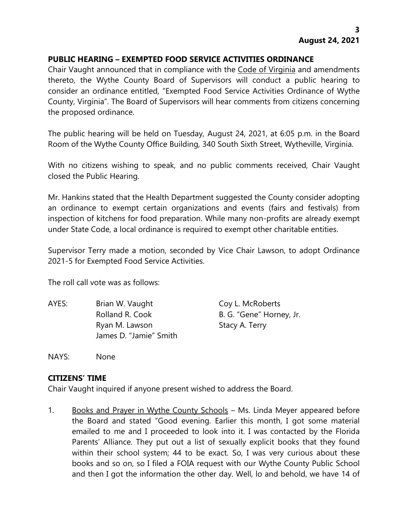### **PUBLIC HEARING – EXEMPTED FOOD SERVICE ACTIVITIES ORDINANCE**

Chair Vaught announced that in compliance with the Code of Virginia and amendments thereto, the Wythe County Board of Supervisors will conduct a public hearing to consider an ordinance entitled, "Exempted Food Service Activities Ordinance of Wythe County, Virginia". The Board of Supervisors will hear comments from citizens concerning the proposed ordinance.

The public hearing will be held on Tuesday, August 24, 2021, at 6:05 p.m. in the Board Room of the Wythe County Office Building, 340 South Sixth Street, Wytheville, Virginia.

With no citizens wishing to speak, and no public comments received, Chair Vaught closed the Public Hearing.

Mr. Hankins stated that the Health Department suggested the County consider adopting an ordinance to exempt certain organizations and events (fairs and festivals) from inspection of kitchens for food preparation. While many non-profits are already exempt under State Code, a local ordinance is required to exempt other charitable entities.

Supervisor Terry made a motion, seconded by Vice Chair Lawson, to adopt Ordinance 2021-5 for Exempted Food Service Activities.

The roll call vote was as follows:

AYES: Brian W. Vaught Coy L. McRoberts Rolland R. Cook B. G. "Gene" Horney, Jr. Ryan M. Lawson Stacy A. Terry James D. "Jamie" Smith

NAYS: None

#### **CITIZENS' TIME**

Chair Vaught inquired if anyone present wished to address the Board.

1. Books and Prayer in Wythe County Schools – Ms. Linda Meyer appeared before the Board and stated "Good evening. Earlier this month, I got some material emailed to me and I proceeded to look into it. I was contacted by the Florida Parents' Alliance. They put out a list of sexually explicit books that they found within their school system; 44 to be exact. So, I was very curious about these books and so on, so I filed a FOIA request with our Wythe County Public School and then I got the information the other day. Well, lo and behold, we have 14 of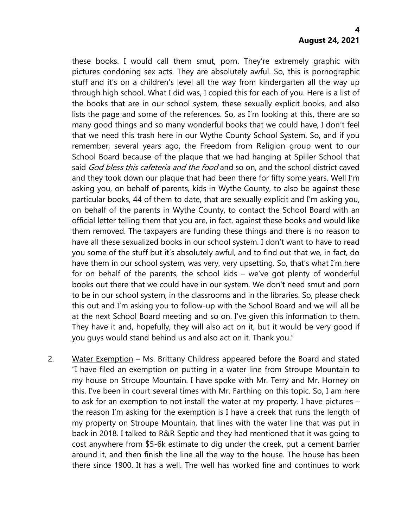these books. I would call them smut, porn. They're extremely graphic with pictures condoning sex acts. They are absolutely awful. So, this is pornographic stuff and it's on a children's level all the way from kindergarten all the way up through high school. What I did was, I copied this for each of you. Here is a list of the books that are in our school system, these sexually explicit books, and also lists the page and some of the references. So, as I'm looking at this, there are so many good things and so many wonderful books that we could have, I don't feel that we need this trash here in our Wythe County School System. So, and if you remember, several years ago, the Freedom from Religion group went to our School Board because of the plaque that we had hanging at Spiller School that said God bless this cafeteria and the food and so on, and the school district caved and they took down our plaque that had been there for fifty some years. Well I'm asking you, on behalf of parents, kids in Wythe County, to also be against these particular books, 44 of them to date, that are sexually explicit and I'm asking you, on behalf of the parents in Wythe County, to contact the School Board with an official letter telling them that you are, in fact, against these books and would like them removed. The taxpayers are funding these things and there is no reason to have all these sexualized books in our school system. I don't want to have to read you some of the stuff but it's absolutely awful, and to find out that we, in fact, do have them in our school system, was very, very upsetting. So, that's what I'm here for on behalf of the parents, the school kids – we've got plenty of wonderful books out there that we could have in our system. We don't need smut and porn to be in our school system, in the classrooms and in the libraries. So, please check this out and I'm asking you to follow-up with the School Board and we will all be at the next School Board meeting and so on. I've given this information to them. They have it and, hopefully, they will also act on it, but it would be very good if you guys would stand behind us and also act on it. Thank you."

2. Water Exemption – Ms. Brittany Childress appeared before the Board and stated "I have filed an exemption on putting in a water line from Stroupe Mountain to my house on Stroupe Mountain. I have spoke with Mr. Terry and Mr. Horney on this. I've been in court several times with Mr. Farthing on this topic. So, I am here to ask for an exemption to not install the water at my property. I have pictures – the reason I'm asking for the exemption is I have a creek that runs the length of my property on Stroupe Mountain, that lines with the water line that was put in back in 2018. I talked to R&R Septic and they had mentioned that it was going to cost anywhere from \$5-6k estimate to dig under the creek, put a cement barrier around it, and then finish the line all the way to the house. The house has been there since 1900. It has a well. The well has worked fine and continues to work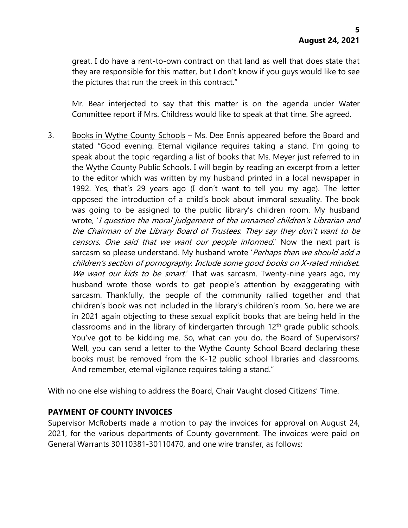great. I do have a rent-to-own contract on that land as well that does state that they are responsible for this matter, but I don't know if you guys would like to see the pictures that run the creek in this contract."

Mr. Bear interjected to say that this matter is on the agenda under Water Committee report if Mrs. Childress would like to speak at that time. She agreed.

3. Books in Wythe County Schools – Ms. Dee Ennis appeared before the Board and stated "Good evening. Eternal vigilance requires taking a stand. I'm going to speak about the topic regarding a list of books that Ms. Meyer just referred to in the Wythe County Public Schools. I will begin by reading an excerpt from a letter to the editor which was written by my husband printed in a local newspaper in 1992. Yes, that's 29 years ago (I don't want to tell you my age). The letter opposed the introduction of a child's book about immoral sexuality. The book was going to be assigned to the public library's children room. My husband wrote, 'I question the moral judgement of the unnamed children'<sup>s</sup> Librarian and the Chairman of the Library Board of Trustees. They say they don't want to be censors. One said that we want our people informed.' Now the next part is sarcasm so please understand. My husband wrote 'Perhaps then we should add a children's section of pornography. Include some good books on X-rated mindset. We want our kids to be smart.' That was sarcasm. Twenty-nine years ago, my husband wrote those words to get people's attention by exaggerating with sarcasm. Thankfully, the people of the community rallied together and that children's book was not included in the library's children's room. So, here we are in 2021 again objecting to these sexual explicit books that are being held in the classrooms and in the library of kindergarten through 12<sup>th</sup> grade public schools. You've got to be kidding me. So, what can you do, the Board of Supervisors? Well, you can send a letter to the Wythe County School Board declaring these books must be removed from the K-12 public school libraries and classrooms. And remember, eternal vigilance requires taking a stand."

With no one else wishing to address the Board, Chair Vaught closed Citizens' Time.

# **PAYMENT OF COUNTY INVOICES**

Supervisor McRoberts made a motion to pay the invoices for approval on August 24, 2021, for the various departments of County government. The invoices were paid on General Warrants 30110381-30110470, and one wire transfer, as follows: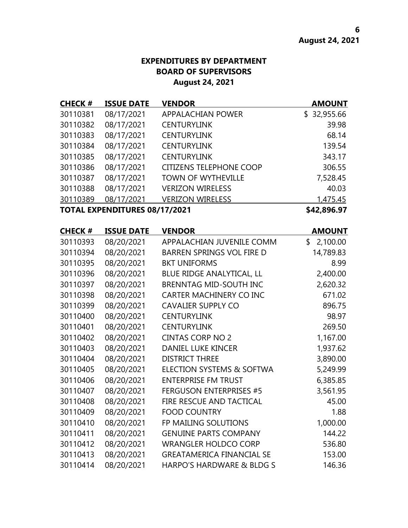# **EXPENDITURES BY DEPARTMENT BOARD OF SUPERVISORS August 24, 2021**

| <b>CHECK#</b> | <b>ISSUE DATE</b>                    | <b>VENDOR</b>                    | <b>AMOUNT</b>  |
|---------------|--------------------------------------|----------------------------------|----------------|
| 30110381      | 08/17/2021                           | <b>APPALACHIAN POWER</b>         | \$32,955.66    |
| 30110382      | 08/17/2021                           | <b>CENTURYLINK</b>               | 39.98          |
| 30110383      | 08/17/2021                           | <b>CENTURYLINK</b>               | 68.14          |
| 30110384      | 08/17/2021                           | <b>CENTURYLINK</b>               | 139.54         |
| 30110385      | 08/17/2021                           | <b>CENTURYLINK</b>               | 343.17         |
| 30110386      | 08/17/2021                           | <b>CITIZENS TELEPHONE COOP</b>   | 306.55         |
| 30110387      | 08/17/2021                           | <b>TOWN OF WYTHEVILLE</b>        | 7,528.45       |
| 30110388      | 08/17/2021                           | <b>VERIZON WIRELESS</b>          | 40.03          |
| 30110389      | 08/17/2021                           | <b>VERIZON WIRELESS</b>          | 1,475.45       |
|               | <b>TOTAL EXPENDITURES 08/17/2021</b> |                                  | \$42,896.97    |
| <b>CHECK#</b> | <b>ISSUE DATE</b>                    | <b>VENDOR</b>                    | <b>AMOUNT</b>  |
| 30110393      | 08/20/2021                           | APPALACHIAN JUVENILE COMM        | \$<br>2,100.00 |
| 30110394      | 08/20/2021                           | <b>BARREN SPRINGS VOL FIRE D</b> | 14,789.83      |
| 30110395      | 08/20/2021                           | <b>BKT UNIFORMS</b>              | 8.99           |
| 30110396      | 08/20/2021                           | BLUE RIDGE ANALYTICAL, LL        | 2,400.00       |
| 30110397      | 08/20/2021                           | <b>BRENNTAG MID-SOUTH INC</b>    | 2,620.32       |
| 30110398      | 08/20/2021                           | <b>CARTER MACHINERY CO INC</b>   | 671.02         |
| 30110399      | 08/20/2021                           | <b>CAVALIER SUPPLY CO</b>        | 896.75         |
| 30110400      | 08/20/2021                           | <b>CENTURYLINK</b>               | 98.97          |
| 30110401      | 08/20/2021                           | <b>CENTURYLINK</b>               | 269.50         |
| 30110402      | 08/20/2021                           | <b>CINTAS CORP NO 2</b>          | 1,167.00       |
| 30110403      | 08/20/2021                           | <b>DANIEL LUKE KINCER</b>        | 1,937.62       |
| 30110404      | 08/20/2021                           | <b>DISTRICT THREE</b>            | 3,890.00       |
| 30110405      | 08/20/2021                           | ELECTION SYSTEMS & SOFTWA        | 5,249.99       |
| 30110406      | 08/20/2021                           | <b>ENTERPRISE FM TRUST</b>       | 6,385.85       |
| 30110407      | 08/20/2021                           | <b>FERGUSON ENTERPRISES #5</b>   | 3,561.95       |
| 30110408      | 08/20/2021                           | FIRE RESCUE AND TACTICAL         | 45.00          |
| 30110409      | 08/20/2021                           | <b>FOOD COUNTRY</b>              | 1.88           |
| 30110410      | 08/20/2021                           | FP MAILING SOLUTIONS             | 1,000.00       |
| 30110411      | 08/20/2021                           | <b>GENUINE PARTS COMPANY</b>     | 144.22         |
| 30110412      | 08/20/2021                           | <b>WRANGLER HOLDCO CORP</b>      | 536.80         |
| 30110413      | 08/20/2021                           | <b>GREATAMERICA FINANCIAL SE</b> | 153.00         |

08/20/2021 HARPO'S HARDWARE & BLDG S 146.36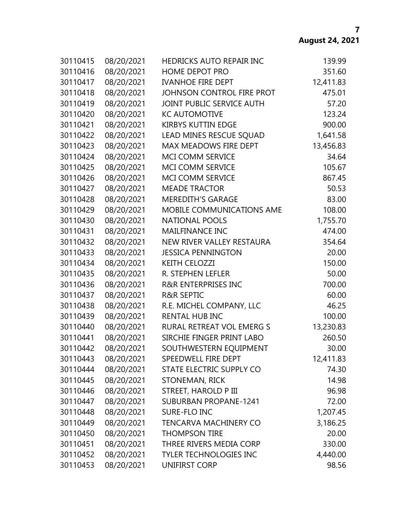| 30110415 | 08/20/2021 | HEDRICKS AUTO REPAIR INC       | 139.99    |
|----------|------------|--------------------------------|-----------|
| 30110416 | 08/20/2021 | <b>HOME DEPOT PRO</b>          | 351.60    |
| 30110417 | 08/20/2021 | <b>IVANHOE FIRE DEPT</b>       | 12,411.83 |
| 30110418 | 08/20/2021 | JOHNSON CONTROL FIRE PROT      | 475.01    |
| 30110419 | 08/20/2021 | JOINT PUBLIC SERVICE AUTH      | 57.20     |
| 30110420 | 08/20/2021 | <b>KC AUTOMOTIVE</b>           | 123.24    |
| 30110421 | 08/20/2021 | <b>KIRBYS KUTTIN EDGE</b>      | 900.00    |
| 30110422 | 08/20/2021 | LEAD MINES RESCUE SQUAD        | 1,641.58  |
| 30110423 | 08/20/2021 | <b>MAX MEADOWS FIRE DEPT</b>   | 13,456.83 |
| 30110424 | 08/20/2021 | <b>MCI COMM SERVICE</b>        | 34.64     |
| 30110425 | 08/20/2021 | MCI COMM SERVICE               | 105.67    |
| 30110426 | 08/20/2021 | MCI COMM SERVICE               | 867.45    |
| 30110427 | 08/20/2021 | <b>MEADE TRACTOR</b>           | 50.53     |
| 30110428 | 08/20/2021 | <b>MEREDITH'S GARAGE</b>       | 83.00     |
| 30110429 | 08/20/2021 | MOBILE COMMUNICATIONS AME      | 108.00    |
| 30110430 | 08/20/2021 | <b>NATIONAL POOLS</b>          | 1,755.70  |
| 30110431 | 08/20/2021 | <b>MAILFINANCE INC</b>         | 474.00    |
| 30110432 | 08/20/2021 | NEW RIVER VALLEY RESTAURA      | 354.64    |
| 30110433 | 08/20/2021 | <b>JESSICA PENNINGTON</b>      | 20.00     |
| 30110434 | 08/20/2021 | <b>KEITH CELOZZI</b>           | 150.00    |
| 30110435 | 08/20/2021 | R. STEPHEN LEFLER              | 50.00     |
| 30110436 | 08/20/2021 | <b>R&amp;R ENTERPRISES INC</b> | 700.00    |
| 30110437 | 08/20/2021 | <b>R&amp;R SEPTIC</b>          | 60.00     |
| 30110438 | 08/20/2021 | R.E. MICHEL COMPANY, LLC       | 46.25     |
| 30110439 | 08/20/2021 | <b>RENTAL HUB INC</b>          | 100.00    |
| 30110440 | 08/20/2021 | RURAL RETREAT VOL EMERG S      | 13,230.83 |
| 30110441 | 08/20/2021 | SIRCHIE FINGER PRINT LABO      | 260.50    |
| 30110442 | 08/20/2021 | SOUTHWESTERN EQUIPMENT         | 30.00     |
| 30110443 | 08/20/2021 | SPEEDWELL FIRE DEPT            | 12,411.83 |
| 30110444 | 08/20/2021 | STATE ELECTRIC SUPPLY CO       | 74.30     |
| 30110445 | 08/20/2021 | STONEMAN, RICK                 | 14.98     |
| 30110446 | 08/20/2021 | <b>STREET, HAROLD P III</b>    | 96.98     |
| 30110447 | 08/20/2021 | <b>SUBURBAN PROPANE-1241</b>   | 72.00     |
| 30110448 | 08/20/2021 | SURE-FLO INC                   | 1,207.45  |
| 30110449 | 08/20/2021 | <b>TENCARVA MACHINERY CO</b>   | 3,186.25  |
| 30110450 | 08/20/2021 | <b>THOMPSON TIRE</b>           | 20.00     |
| 30110451 | 08/20/2021 | THREE RIVERS MEDIA CORP        | 330.00    |
| 30110452 | 08/20/2021 | <b>TYLER TECHNOLOGIES INC</b>  | 4,440.00  |
| 30110453 | 08/20/2021 | UNIFIRST CORP                  | 98.56     |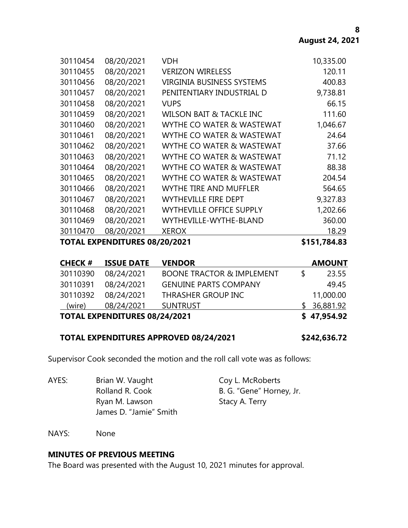**8**

| 30110454 | 08/20/2021 | <b>VDH</b>                           | 10,335.00 |
|----------|------------|--------------------------------------|-----------|
| 30110455 | 08/20/2021 | <b>VERIZON WIRELESS</b>              | 120.11    |
| 30110456 | 08/20/2021 | <b>VIRGINIA BUSINESS SYSTEMS</b>     | 400.83    |
| 30110457 | 08/20/2021 | PENITENTIARY INDUSTRIAL D            | 9,738.81  |
| 30110458 | 08/20/2021 | <b>VUPS</b>                          | 66.15     |
| 30110459 | 08/20/2021 | <b>WILSON BAIT &amp; TACKLE INC</b>  | 111.60    |
| 30110460 | 08/20/2021 | WYTHE CO WATER & WASTEWAT            | 1,046.67  |
| 30110461 | 08/20/2021 | WYTHE CO WATER & WASTEWAT            | 24.64     |
| 30110462 | 08/20/2021 | WYTHE CO WATER & WASTEWAT            | 37.66     |
| 30110463 | 08/20/2021 | <b>WYTHE CO WATER &amp; WASTEWAT</b> | 71.12     |
| 30110464 | 08/20/2021 | WYTHE CO WATER & WASTEWAT            | 88.38     |
| 30110465 | 08/20/2021 | WYTHE CO WATER & WASTEWAT            | 204.54    |
| 30110466 | 08/20/2021 | <b>WYTHE TIRE AND MUFFLER</b>        | 564.65    |
| 30110467 | 08/20/2021 | <b>WYTHEVILLE FIRE DEPT</b>          | 9,327.83  |
| 30110468 | 08/20/2021 | <b>WYTHEVILLE OFFICE SUPPLY</b>      | 1,202.66  |
| 30110469 | 08/20/2021 | WYTHEVILLE-WYTHE-BLAND               | 360.00    |
| 30110470 | 08/20/2021 | <b>XEROX</b>                         | 18.29     |
|          |            |                                      |           |

#### **TOTAL EXPENDITURES 08/20/2021 \$151,784.83**

#### **CHECK # ISSUE DATE VENDOR AMOUNT**

| LNELN #                              | ISSUE DATE          | VENDUR                               |             | <b>AIVIUUIN I</b> |
|--------------------------------------|---------------------|--------------------------------------|-------------|-------------------|
| 30110390                             | 08/24/2021          | <b>BOONE TRACTOR &amp; IMPLEMENT</b> | S.          | 23.55             |
|                                      | 30110391 08/24/2021 | <b>GENUINE PARTS COMPANY</b>         |             | 49.45             |
|                                      | 30110392 08/24/2021 | THRASHER GROUP INC                   |             | 11,000.00         |
| (wire)                               | 08/24/2021          | <b>SUNTRUST</b>                      |             | \$36,881.92       |
| <b>TOTAL EXPENDITURES 08/24/2021</b> |                     |                                      | \$47,954.92 |                   |

#### **TOTAL EXPENDITURES APPROVED 08/24/2021 \$242,636.72**

Supervisor Cook seconded the motion and the roll call vote was as follows:

AYES: Brian W. Vaught Coy L. McRoberts Rolland R. Cook B. G. "Gene" Horney, Jr. Ryan M. Lawson Stacy A. Terry James D. "Jamie" Smith

NAYS: None

# **MINUTES OF PREVIOUS MEETING**

The Board was presented with the August 10, 2021 minutes for approval.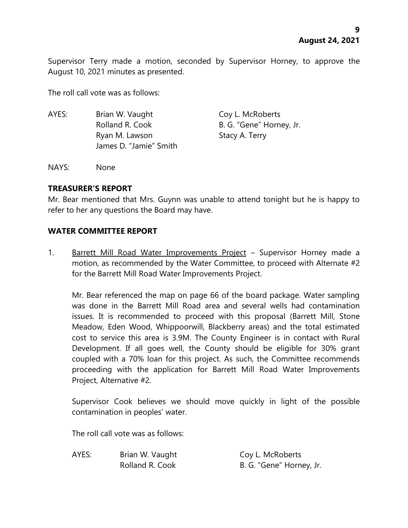Supervisor Terry made a motion, seconded by Supervisor Horney, to approve the August 10, 2021 minutes as presented.

The roll call vote was as follows:

AYES: Brian W. Vaught Coy L. McRoberts Rolland R. Cook B. G. "Gene" Horney, Jr. Ryan M. Lawson Stacy A. Terry James D. "Jamie" Smith

NAYS: None

# **TREASURER'S REPORT**

Mr. Bear mentioned that Mrs. Guynn was unable to attend tonight but he is happy to refer to her any questions the Board may have.

# **WATER COMMITTEE REPORT**

1. Barrett Mill Road Water Improvements Project - Supervisor Horney made a motion, as recommended by the Water Committee, to proceed with Alternate #2 for the Barrett Mill Road Water Improvements Project.

Mr. Bear referenced the map on page 66 of the board package. Water sampling was done in the Barrett Mill Road area and several wells had contamination issues. It is recommended to proceed with this proposal (Barrett Mill, Stone Meadow, Eden Wood, Whippoorwill, Blackberry areas) and the total estimated cost to service this area is 3.9M. The County Engineer is in contact with Rural Development. If all goes well, the County should be eligible for 30% grant coupled with a 70% loan for this project. As such, the Committee recommends proceeding with the application for Barrett Mill Road Water Improvements Project, Alternative #2.

Supervisor Cook believes we should move quickly in light of the possible contamination in peoples' water.

The roll call vote was as follows:

AYES: Brian W. Vaught Coy L. McRoberts

Rolland R. Cook B. G. "Gene" Horney, Jr.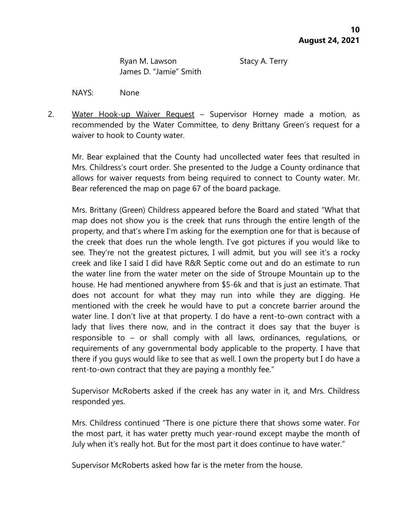Ryan M. Lawson Stacy A. Terry James D. "Jamie" Smith

NAYS: None

2. Water Hook-up Waiver Request - Supervisor Horney made a motion, as recommended by the Water Committee, to deny Brittany Green's request for a waiver to hook to County water.

Mr. Bear explained that the County had uncollected water fees that resulted in Mrs. Childress's court order. She presented to the Judge a County ordinance that allows for waiver requests from being required to connect to County water. Mr. Bear referenced the map on page 67 of the board package.

Mrs. Brittany (Green) Childress appeared before the Board and stated "What that map does not show you is the creek that runs through the entire length of the property, and that's where I'm asking for the exemption one for that is because of the creek that does run the whole length. I've got pictures if you would like to see. They're not the greatest pictures, I will admit, but you will see it's a rocky creek and like I said I did have R&R Septic come out and do an estimate to run the water line from the water meter on the side of Stroupe Mountain up to the house. He had mentioned anywhere from \$5-6k and that is just an estimate. That does not account for what they may run into while they are digging. He mentioned with the creek he would have to put a concrete barrier around the water line. I don't live at that property. I do have a rent-to-own contract with a lady that lives there now, and in the contract it does say that the buyer is responsible to – or shall comply with all laws, ordinances, regulations, or requirements of any governmental body applicable to the property. I have that there if you guys would like to see that as well. I own the property but I do have a rent-to-own contract that they are paying a monthly fee."

Supervisor McRoberts asked if the creek has any water in it, and Mrs. Childress responded yes.

Mrs. Childress continued "There is one picture there that shows some water. For the most part, it has water pretty much year-round except maybe the month of July when it's really hot. But for the most part it does continue to have water."

Supervisor McRoberts asked how far is the meter from the house.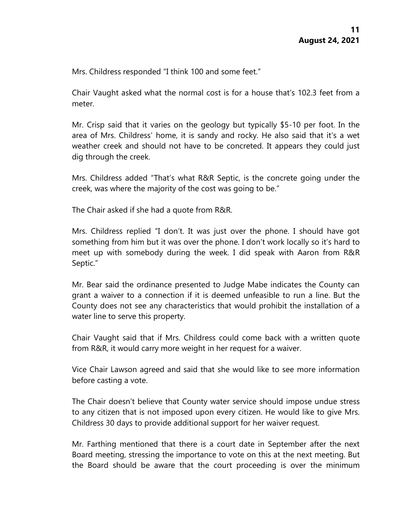Mrs. Childress responded "I think 100 and some feet."

Chair Vaught asked what the normal cost is for a house that's 102.3 feet from a meter.

Mr. Crisp said that it varies on the geology but typically \$5-10 per foot. In the area of Mrs. Childress' home, it is sandy and rocky. He also said that it's a wet weather creek and should not have to be concreted. It appears they could just dig through the creek.

Mrs. Childress added "That's what R&R Septic, is the concrete going under the creek, was where the majority of the cost was going to be."

The Chair asked if she had a quote from R&R.

Mrs. Childress replied "I don't. It was just over the phone. I should have got something from him but it was over the phone. I don't work locally so it's hard to meet up with somebody during the week. I did speak with Aaron from R&R Septic."

Mr. Bear said the ordinance presented to Judge Mabe indicates the County can grant a waiver to a connection if it is deemed unfeasible to run a line. But the County does not see any characteristics that would prohibit the installation of a water line to serve this property.

Chair Vaught said that if Mrs. Childress could come back with a written quote from R&R, it would carry more weight in her request for a waiver.

Vice Chair Lawson agreed and said that she would like to see more information before casting a vote.

The Chair doesn't believe that County water service should impose undue stress to any citizen that is not imposed upon every citizen. He would like to give Mrs. Childress 30 days to provide additional support for her waiver request.

Mr. Farthing mentioned that there is a court date in September after the next Board meeting, stressing the importance to vote on this at the next meeting. But the Board should be aware that the court proceeding is over the minimum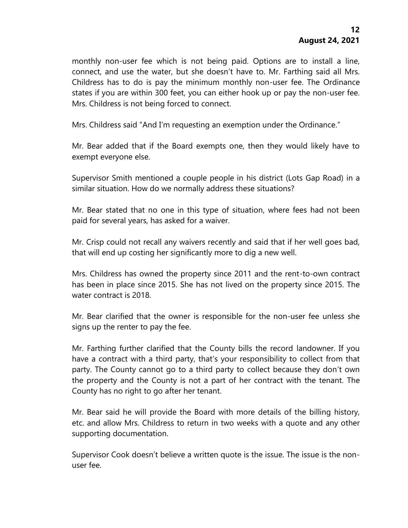monthly non-user fee which is not being paid. Options are to install a line, connect, and use the water, but she doesn't have to. Mr. Farthing said all Mrs. Childress has to do is pay the minimum monthly non-user fee. The Ordinance states if you are within 300 feet, you can either hook up or pay the non-user fee. Mrs. Childress is not being forced to connect.

Mrs. Childress said "And I'm requesting an exemption under the Ordinance."

Mr. Bear added that if the Board exempts one, then they would likely have to exempt everyone else.

Supervisor Smith mentioned a couple people in his district (Lots Gap Road) in a similar situation. How do we normally address these situations?

Mr. Bear stated that no one in this type of situation, where fees had not been paid for several years, has asked for a waiver.

Mr. Crisp could not recall any waivers recently and said that if her well goes bad, that will end up costing her significantly more to dig a new well.

Mrs. Childress has owned the property since 2011 and the rent-to-own contract has been in place since 2015. She has not lived on the property since 2015. The water contract is 2018.

Mr. Bear clarified that the owner is responsible for the non-user fee unless she signs up the renter to pay the fee.

Mr. Farthing further clarified that the County bills the record landowner. If you have a contract with a third party, that's your responsibility to collect from that party. The County cannot go to a third party to collect because they don't own the property and the County is not a part of her contract with the tenant. The County has no right to go after her tenant.

Mr. Bear said he will provide the Board with more details of the billing history, etc. and allow Mrs. Childress to return in two weeks with a quote and any other supporting documentation.

Supervisor Cook doesn't believe a written quote is the issue. The issue is the nonuser fee.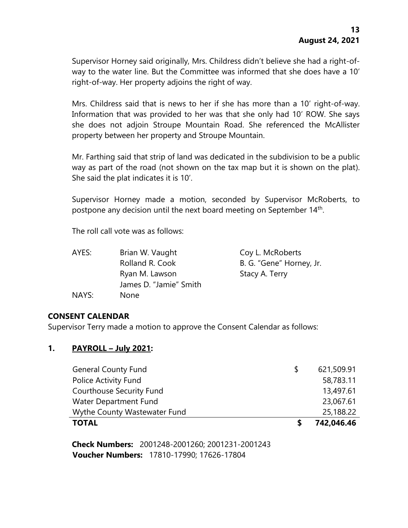Supervisor Horney said originally, Mrs. Childress didn't believe she had a right-ofway to the water line. But the Committee was informed that she does have a 10' right-of-way. Her property adjoins the right of way.

Mrs. Childress said that is news to her if she has more than a 10' right-of-way. Information that was provided to her was that she only had 10' ROW. She says she does not adjoin Stroupe Mountain Road. She referenced the McAllister property between her property and Stroupe Mountain.

Mr. Farthing said that strip of land was dedicated in the subdivision to be a public way as part of the road (not shown on the tax map but it is shown on the plat). She said the plat indicates it is 10'.

Supervisor Horney made a motion, seconded by Supervisor McRoberts, to postpone any decision until the next board meeting on September 14<sup>th</sup>.

The roll call vote was as follows:

| AYES: | Brian W. Vaught        | Coy L. McRoberts         |
|-------|------------------------|--------------------------|
|       | Rolland R. Cook        | B. G. "Gene" Horney, Jr. |
|       | Ryan M. Lawson         | Stacy A. Terry           |
|       | James D. "Jamie" Smith |                          |
| NAYS: | None                   |                          |

# **CONSENT CALENDAR**

Supervisor Terry made a motion to approve the Consent Calendar as follows:

#### **1. PAYROLL – July 2021:**

| <b>TOTAL</b>                    |    | 742,046.46 |
|---------------------------------|----|------------|
| Wythe County Wastewater Fund    |    | 25,188.22  |
| Water Department Fund           |    | 23,067.61  |
| <b>Courthouse Security Fund</b> |    | 13,497.61  |
| Police Activity Fund            |    | 58,783.11  |
| <b>General County Fund</b>      | -S | 621,509.91 |

**Check Numbers:** 2001248-2001260; 2001231-2001243 **Voucher Numbers:** 17810-17990; 17626-17804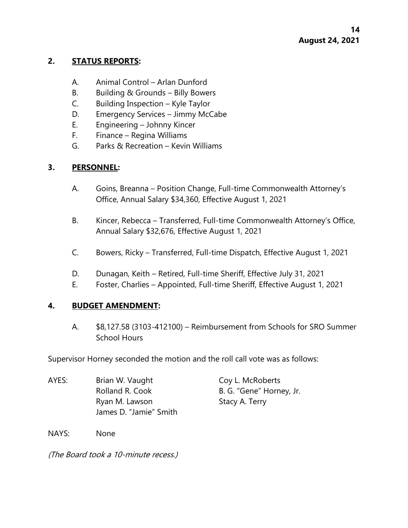# **2. STATUS REPORTS:**

- A. Animal Control Arlan Dunford
- B. Building & Grounds Billy Bowers
- C. Building Inspection Kyle Taylor
- D. Emergency Services Jimmy McCabe
- E. Engineering Johnny Kincer
- F. Finance Regina Williams
- G. Parks & Recreation Kevin Williams

# **3. PERSONNEL:**

- A. Goins, Breanna Position Change, Full-time Commonwealth Attorney's Office, Annual Salary \$34,360, Effective August 1, 2021
- B. Kincer, Rebecca Transferred, Full-time Commonwealth Attorney's Office, Annual Salary \$32,676, Effective August 1, 2021
- C. Bowers, Ricky Transferred, Full-time Dispatch, Effective August 1, 2021
- D. Dunagan, Keith Retired, Full-time Sheriff, Effective July 31, 2021
- E. Foster, Charlies Appointed, Full-time Sheriff, Effective August 1, 2021

# **4. BUDGET AMENDMENT:**

A. \$8,127.58 (3103-412100) – Reimbursement from Schools for SRO Summer School Hours

Supervisor Horney seconded the motion and the roll call vote was as follows:

| AYES: | Brian W. Vaught        | Coy L. McRoberts         |
|-------|------------------------|--------------------------|
|       | Rolland R. Cook        | B. G. "Gene" Horney, Jr. |
|       | Ryan M. Lawson         | Stacy A. Terry           |
|       | James D. "Jamie" Smith |                          |

NAYS: None

(The Board took a 10-minute recess.)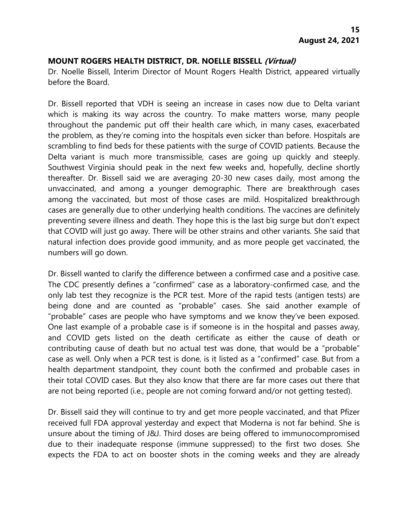### **MOUNT ROGERS HEALTH DISTRICT, DR. NOELLE BISSELL (Virtual)**

Dr. Noelle Bissell, Interim Director of Mount Rogers Health District, appeared virtually before the Board.

Dr. Bissell reported that VDH is seeing an increase in cases now due to Delta variant which is making its way across the country. To make matters worse, many people throughout the pandemic put off their health care which, in many cases, exacerbated the problem, as they're coming into the hospitals even sicker than before. Hospitals are scrambling to find beds for these patients with the surge of COVID patients. Because the Delta variant is much more transmissible, cases are going up quickly and steeply. Southwest Virginia should peak in the next few weeks and, hopefully, decline shortly thereafter. Dr. Bissell said we are averaging 20-30 new cases daily, most among the unvaccinated, and among a younger demographic. There are breakthrough cases among the vaccinated, but most of those cases are mild. Hospitalized breakthrough cases are generally due to other underlying health conditions. The vaccines are definitely preventing severe illness and death. They hope this is the last big surge but don't expect that COVID will just go away. There will be other strains and other variants. She said that natural infection does provide good immunity, and as more people get vaccinated, the numbers will go down.

Dr. Bissell wanted to clarify the difference between a confirmed case and a positive case. The CDC presently defines a "confirmed" case as a laboratory-confirmed case, and the only lab test they recognize is the PCR test. More of the rapid tests (antigen tests) are being done and are counted as "probable" cases. She said another example of "probable" cases are people who have symptoms and we know they've been exposed. One last example of a probable case is if someone is in the hospital and passes away, and COVID gets listed on the death certificate as either the cause of death or contributing cause of death but no actual test was done, that would be a "probable" case as well. Only when a PCR test is done, is it listed as a "confirmed" case. But from a health department standpoint, they count both the confirmed and probable cases in their total COVID cases. But they also know that there are far more cases out there that are not being reported (i.e., people are not coming forward and/or not getting tested).

Dr. Bissell said they will continue to try and get more people vaccinated, and that Pfizer received full FDA approval yesterday and expect that Moderna is not far behind. She is unsure about the timing of J&J. Third doses are being offered to immunocompromised due to their inadequate response (immune suppressed) to the first two doses. She expects the FDA to act on booster shots in the coming weeks and they are already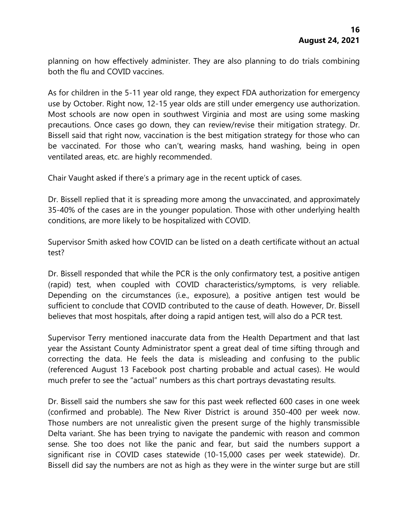planning on how effectively administer. They are also planning to do trials combining both the flu and COVID vaccines.

As for children in the 5-11 year old range, they expect FDA authorization for emergency use by October. Right now, 12-15 year olds are still under emergency use authorization. Most schools are now open in southwest Virginia and most are using some masking precautions. Once cases go down, they can review/revise their mitigation strategy. Dr. Bissell said that right now, vaccination is the best mitigation strategy for those who can be vaccinated. For those who can't, wearing masks, hand washing, being in open ventilated areas, etc. are highly recommended.

Chair Vaught asked if there's a primary age in the recent uptick of cases.

Dr. Bissell replied that it is spreading more among the unvaccinated, and approximately 35-40% of the cases are in the younger population. Those with other underlying health conditions, are more likely to be hospitalized with COVID.

Supervisor Smith asked how COVID can be listed on a death certificate without an actual test?

Dr. Bissell responded that while the PCR is the only confirmatory test, a positive antigen (rapid) test, when coupled with COVID characteristics/symptoms, is very reliable. Depending on the circumstances (i.e., exposure), a positive antigen test would be sufficient to conclude that COVID contributed to the cause of death. However, Dr. Bissell believes that most hospitals, after doing a rapid antigen test, will also do a PCR test.

Supervisor Terry mentioned inaccurate data from the Health Department and that last year the Assistant County Administrator spent a great deal of time sifting through and correcting the data. He feels the data is misleading and confusing to the public (referenced August 13 Facebook post charting probable and actual cases). He would much prefer to see the "actual" numbers as this chart portrays devastating results.

Dr. Bissell said the numbers she saw for this past week reflected 600 cases in one week (confirmed and probable). The New River District is around 350-400 per week now. Those numbers are not unrealistic given the present surge of the highly transmissible Delta variant. She has been trying to navigate the pandemic with reason and common sense. She too does not like the panic and fear, but said the numbers support a significant rise in COVID cases statewide (10-15,000 cases per week statewide). Dr. Bissell did say the numbers are not as high as they were in the winter surge but are still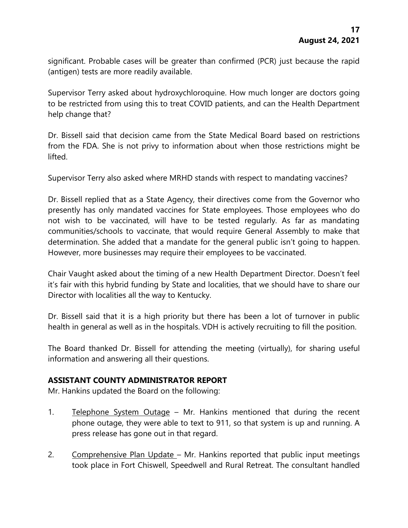significant. Probable cases will be greater than confirmed (PCR) just because the rapid (antigen) tests are more readily available.

Supervisor Terry asked about hydroxychloroquine. How much longer are doctors going to be restricted from using this to treat COVID patients, and can the Health Department help change that?

Dr. Bissell said that decision came from the State Medical Board based on restrictions from the FDA. She is not privy to information about when those restrictions might be lifted.

Supervisor Terry also asked where MRHD stands with respect to mandating vaccines?

Dr. Bissell replied that as a State Agency, their directives come from the Governor who presently has only mandated vaccines for State employees. Those employees who do not wish to be vaccinated, will have to be tested regularly. As far as mandating communities/schools to vaccinate, that would require General Assembly to make that determination. She added that a mandate for the general public isn't going to happen. However, more businesses may require their employees to be vaccinated.

Chair Vaught asked about the timing of a new Health Department Director. Doesn't feel it's fair with this hybrid funding by State and localities, that we should have to share our Director with localities all the way to Kentucky.

Dr. Bissell said that it is a high priority but there has been a lot of turnover in public health in general as well as in the hospitals. VDH is actively recruiting to fill the position.

The Board thanked Dr. Bissell for attending the meeting (virtually), for sharing useful information and answering all their questions.

# **ASSISTANT COUNTY ADMINISTRATOR REPORT**

Mr. Hankins updated the Board on the following:

- 1. Telephone System Outage Mr. Hankins mentioned that during the recent phone outage, they were able to text to 911, so that system is up and running. A press release has gone out in that regard.
- 2. Comprehensive Plan Update Mr. Hankins reported that public input meetings took place in Fort Chiswell, Speedwell and Rural Retreat. The consultant handled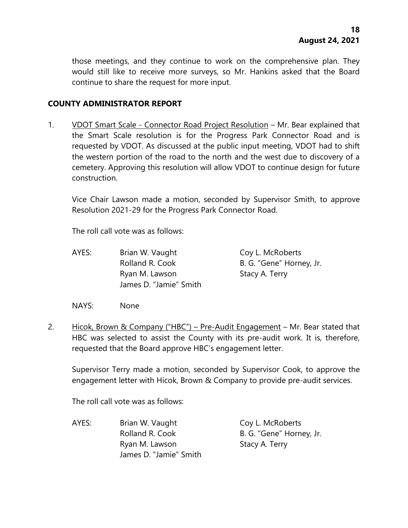those meetings, and they continue to work on the comprehensive plan. They would still like to receive more surveys, so Mr. Hankins asked that the Board continue to share the request for more input.

### **COUNTY ADMINISTRATOR REPORT**

1. VDOT Smart Scale - Connector Road Project Resolution – Mr. Bear explained that the Smart Scale resolution is for the Progress Park Connector Road and is requested by VDOT. As discussed at the public input meeting, VDOT had to shift the western portion of the road to the north and the west due to discovery of a cemetery. Approving this resolution will allow VDOT to continue design for future construction.

Vice Chair Lawson made a motion, seconded by Supervisor Smith, to approve Resolution 2021-29 for the Progress Park Connector Road.

The roll call vote was as follows:

AYES: Brian W. Vaught Coy L. McRoberts Rolland R. Cook B. G. "Gene" Horney, Jr. Ryan M. Lawson Stacy A. Terry James D. "Jamie" Smith

NAYS: None

2. Hicok, Brown & Company ("HBC") – Pre-Audit Engagement – Mr. Bear stated that HBC was selected to assist the County with its pre-audit work. It is, therefore, requested that the Board approve HBC's engagement letter.

Supervisor Terry made a motion, seconded by Supervisor Cook, to approve the engagement letter with Hicok, Brown & Company to provide pre-audit services.

The roll call vote was as follows:

AYES: Brian W. Vaught Coy L. McRoberts Rolland R. Cook B. G. "Gene" Horney, Jr. Ryan M. Lawson Stacy A. Terry James D. "Jamie" Smith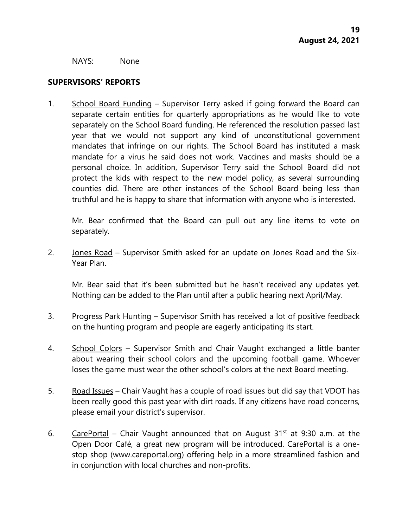NAYS: None

### **SUPERVISORS' REPORTS**

1. School Board Funding – Supervisor Terry asked if going forward the Board can separate certain entities for quarterly appropriations as he would like to vote separately on the School Board funding. He referenced the resolution passed last year that we would not support any kind of unconstitutional government mandates that infringe on our rights. The School Board has instituted a mask mandate for a virus he said does not work. Vaccines and masks should be a personal choice. In addition, Supervisor Terry said the School Board did not protect the kids with respect to the new model policy, as several surrounding counties did. There are other instances of the School Board being less than truthful and he is happy to share that information with anyone who is interested.

Mr. Bear confirmed that the Board can pull out any line items to vote on separately.

2. Jones Road – Supervisor Smith asked for an update on Jones Road and the Six-Year Plan.

Mr. Bear said that it's been submitted but he hasn't received any updates yet. Nothing can be added to the Plan until after a public hearing next April/May.

- 3. Progress Park Hunting Supervisor Smith has received a lot of positive feedback on the hunting program and people are eagerly anticipating its start.
- 4. School Colors Supervisor Smith and Chair Vaught exchanged a little banter about wearing their school colors and the upcoming football game. Whoever loses the game must wear the other school's colors at the next Board meeting.
- 5. Road Issues Chair Vaught has a couple of road issues but did say that VDOT has been really good this past year with dirt roads. If any citizens have road concerns, please email your district's supervisor.
- 6. CarePortal Chair Vaught announced that on August  $31<sup>st</sup>$  at 9:30 a.m. at the Open Door Café, a great new program will be introduced. CarePortal is a onestop shop (www.careportal.org) offering help in a more streamlined fashion and in conjunction with local churches and non-profits.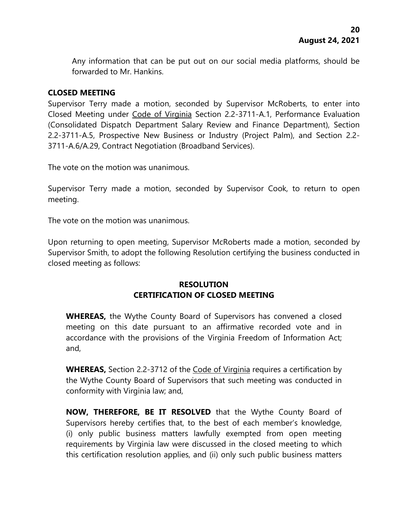Any information that can be put out on our social media platforms, should be forwarded to Mr. Hankins.

# **CLOSED MEETING**

Supervisor Terry made a motion, seconded by Supervisor McRoberts, to enter into Closed Meeting under Code of Virginia Section 2.2-3711-A.1, Performance Evaluation (Consolidated Dispatch Department Salary Review and Finance Department), Section 2.2-3711-A.5, Prospective New Business or Industry (Project Palm), and Section 2.2- 3711-A.6/A.29, Contract Negotiation (Broadband Services).

The vote on the motion was unanimous.

Supervisor Terry made a motion, seconded by Supervisor Cook, to return to open meeting.

The vote on the motion was unanimous.

Upon returning to open meeting, Supervisor McRoberts made a motion, seconded by Supervisor Smith, to adopt the following Resolution certifying the business conducted in closed meeting as follows:

# **RESOLUTION CERTIFICATION OF CLOSED MEETING**

**WHEREAS,** the Wythe County Board of Supervisors has convened a closed meeting on this date pursuant to an affirmative recorded vote and in accordance with the provisions of the Virginia Freedom of Information Act; and,

**WHEREAS,** Section 2.2-3712 of the Code of Virginia requires a certification by the Wythe County Board of Supervisors that such meeting was conducted in conformity with Virginia law; and,

**NOW, THEREFORE, BE IT RESOLVED** that the Wythe County Board of Supervisors hereby certifies that, to the best of each member's knowledge, (i) only public business matters lawfully exempted from open meeting requirements by Virginia law were discussed in the closed meeting to which this certification resolution applies, and (ii) only such public business matters